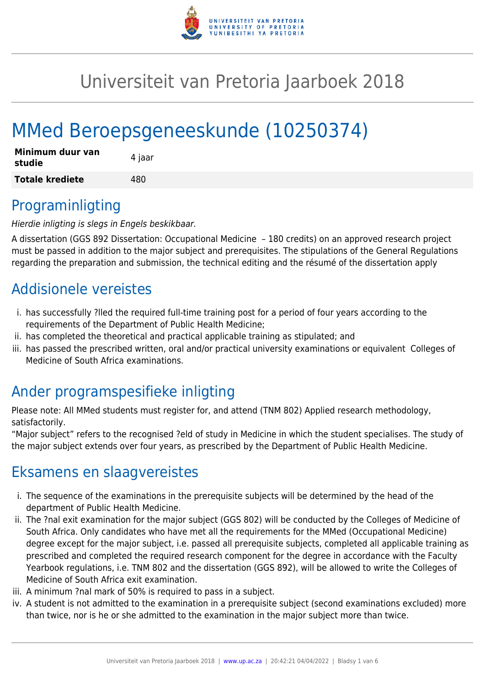

# Universiteit van Pretoria Jaarboek 2018

# MMed Beroepsgeneeskunde (10250374)

| Minimum duur van<br>studie | 4 jaar |
|----------------------------|--------|
| <b>Totale krediete</b>     | 480    |

### Programinligting

Hierdie inligting is slegs in Engels beskikbaar.

A dissertation (GGS 892 Dissertation: Occupational Medicine – 180 credits) on an approved research project must be passed in addition to the major subject and prerequisites. The stipulations of the General Regulations regarding the preparation and submission, the technical editing and the résumé of the dissertation apply

### Addisionele vereistes

- i. has successfully ?lled the required full-time training post for a period of four years according to the requirements of the Department of Public Health Medicine;
- ii. has completed the theoretical and practical applicable training as stipulated; and
- iii. has passed the prescribed written, oral and/or practical university examinations or equivalent Colleges of Medicine of South Africa examinations.

### Ander programspesifieke inligting

Please note: All MMed students must register for, and attend (TNM 802) Applied research methodology, satisfactorily.

"Major subject" refers to the recognised ?eld of study in Medicine in which the student specialises. The study of the major subject extends over four years, as prescribed by the Department of Public Health Medicine.

### Eksamens en slaagvereistes

- i. The sequence of the examinations in the prerequisite subjects will be determined by the head of the department of Public Health Medicine.
- ii. The ?nal exit examination for the major subject (GGS 802) will be conducted by the Colleges of Medicine of South Africa. Only candidates who have met all the requirements for the MMed (Occupational Medicine) degree except for the major subject, i.e. passed all prerequisite subjects, completed all applicable training as prescribed and completed the required research component for the degree in accordance with the Faculty Yearbook regulations, i.e. TNM 802 and the dissertation (GGS 892), will be allowed to write the Colleges of Medicine of South Africa exit examination.
- iii. A minimum ?nal mark of 50% is required to pass in a subject.
- iv. A student is not admitted to the examination in a prerequisite subject (second examinations excluded) more than twice, nor is he or she admitted to the examination in the major subject more than twice.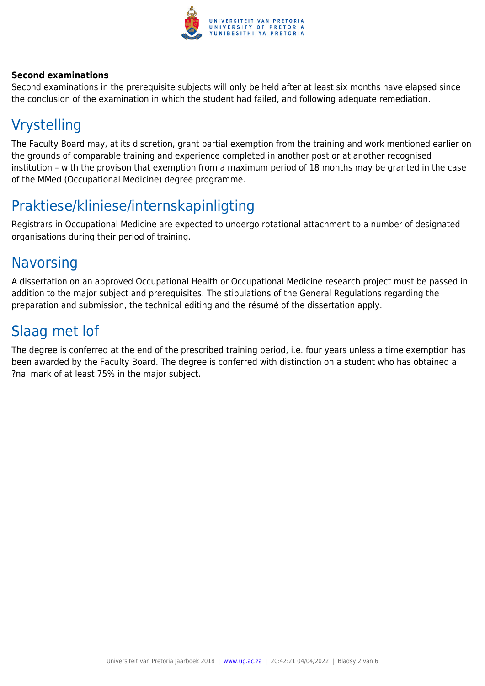

#### **Second examinations**

Second examinations in the prerequisite subjects will only be held after at least six months have elapsed since the conclusion of the examination in which the student had failed, and following adequate remediation.

# Vrystelling

The Faculty Board may, at its discretion, grant partial exemption from the training and work mentioned earlier on the grounds of comparable training and experience completed in another post or at another recognised institution – with the provison that exemption from a maximum period of 18 months may be granted in the case of the MMed (Occupational Medicine) degree programme.

### Praktiese/kliniese/internskapinligting

Registrars in Occupational Medicine are expected to undergo rotational attachment to a number of designated organisations during their period of training.

### **Navorsing**

A dissertation on an approved Occupational Health or Occupational Medicine research project must be passed in addition to the major subject and prerequisites. The stipulations of the General Regulations regarding the preparation and submission, the technical editing and the résumé of the dissertation apply.

### Slaag met lof

The degree is conferred at the end of the prescribed training period, i.e. four years unless a time exemption has been awarded by the Faculty Board. The degree is conferred with distinction on a student who has obtained a ?nal mark of at least 75% in the major subject.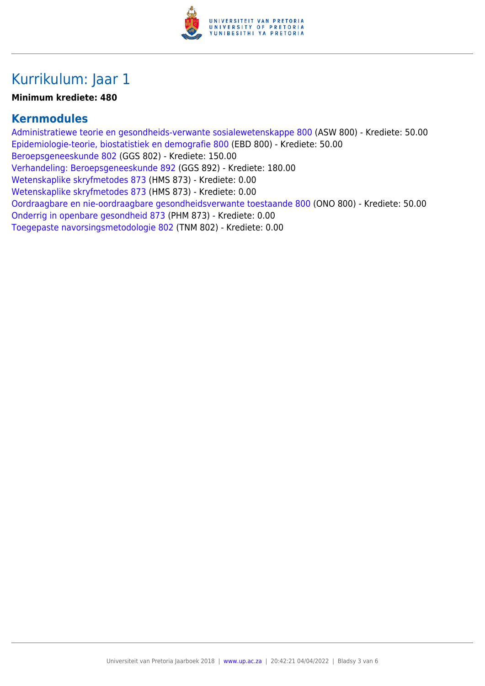

# Kurrikulum: Jaar 1

#### **Minimum krediete: 480**

### **Kernmodules**

[Administratiewe teorie en gesondheids-verwante sosialewetenskappe 800](https://www.up.ac.za/faculty-of-education/yearbooks/2018/modules/view/ASW 800/lg/af) (ASW 800) - Krediete: 50.00 [Epidemiologie-teorie, biostatistiek en demografie 800](https://www.up.ac.za/faculty-of-education/yearbooks/2018/modules/view/EBD 800/lg/af) (EBD 800) - Krediete: 50.00 [Beroepsgeneeskunde 802](https://www.up.ac.za/faculty-of-education/yearbooks/2018/modules/view/GGS 802/lg/af) (GGS 802) - Krediete: 150.00 [Verhandeling: Beroepsgeneeskunde 892](https://www.up.ac.za/faculty-of-education/yearbooks/2018/modules/view/GGS 892/lg/af) (GGS 892) - Krediete: 180.00 [Wetenskaplike skryfmetodes 873](https://www.up.ac.za/faculty-of-education/yearbooks/2018/modules/view/HMS 873/lg/af) (HMS 873) - Krediete: 0.00 [Wetenskaplike skryfmetodes 873](https://www.up.ac.za/faculty-of-education/yearbooks/2018/modules/view/HMS 873/lg/af) (HMS 873) - Krediete: 0.00 [Oordraagbare en nie-oordraagbare gesondheidsverwante toestaande 800](https://www.up.ac.za/faculty-of-education/yearbooks/2018/modules/view/ONO 800/lg/af) (ONO 800) - Krediete: 50.00 [Onderrig in openbare gesondheid 873](https://www.up.ac.za/faculty-of-education/yearbooks/2018/modules/view/PHM 873/lg/af) (PHM 873) - Krediete: 0.00 [Toegepaste navorsingsmetodologie 802](https://www.up.ac.za/faculty-of-education/yearbooks/2018/modules/view/TNM 802/lg/af) (TNM 802) - Krediete: 0.00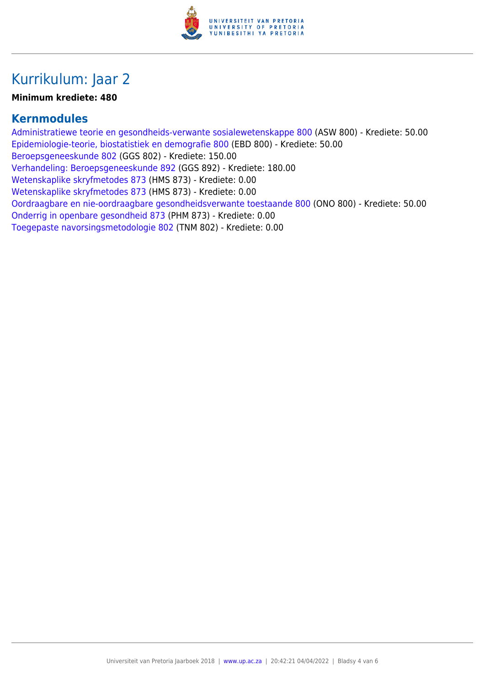

# Kurrikulum: Jaar 2

#### **Minimum krediete: 480**

### **Kernmodules**

[Administratiewe teorie en gesondheids-verwante sosialewetenskappe 800](https://www.up.ac.za/faculty-of-education/yearbooks/2018/modules/view/ASW 800/lg/af) (ASW 800) - Krediete: 50.00 [Epidemiologie-teorie, biostatistiek en demografie 800](https://www.up.ac.za/faculty-of-education/yearbooks/2018/modules/view/EBD 800/lg/af) (EBD 800) - Krediete: 50.00 [Beroepsgeneeskunde 802](https://www.up.ac.za/faculty-of-education/yearbooks/2018/modules/view/GGS 802/lg/af) (GGS 802) - Krediete: 150.00 [Verhandeling: Beroepsgeneeskunde 892](https://www.up.ac.za/faculty-of-education/yearbooks/2018/modules/view/GGS 892/lg/af) (GGS 892) - Krediete: 180.00 [Wetenskaplike skryfmetodes 873](https://www.up.ac.za/faculty-of-education/yearbooks/2018/modules/view/HMS 873/lg/af) (HMS 873) - Krediete: 0.00 [Wetenskaplike skryfmetodes 873](https://www.up.ac.za/faculty-of-education/yearbooks/2018/modules/view/HMS 873/lg/af) (HMS 873) - Krediete: 0.00 [Oordraagbare en nie-oordraagbare gesondheidsverwante toestaande 800](https://www.up.ac.za/faculty-of-education/yearbooks/2018/modules/view/ONO 800/lg/af) (ONO 800) - Krediete: 50.00 [Onderrig in openbare gesondheid 873](https://www.up.ac.za/faculty-of-education/yearbooks/2018/modules/view/PHM 873/lg/af) (PHM 873) - Krediete: 0.00 [Toegepaste navorsingsmetodologie 802](https://www.up.ac.za/faculty-of-education/yearbooks/2018/modules/view/TNM 802/lg/af) (TNM 802) - Krediete: 0.00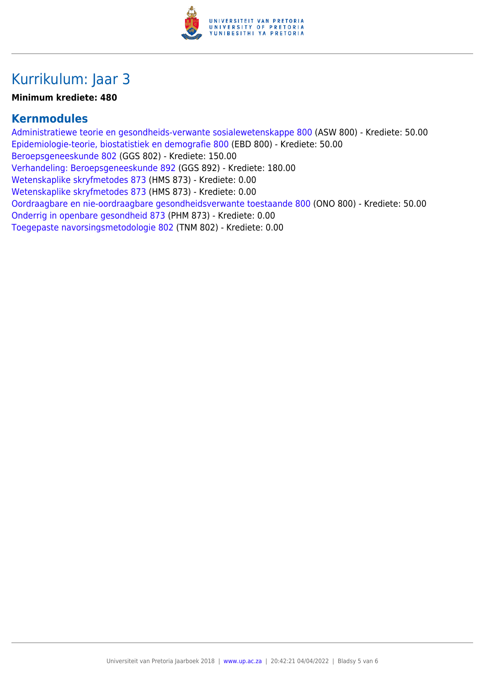

# Kurrikulum: Jaar 3

#### **Minimum krediete: 480**

### **Kernmodules**

[Administratiewe teorie en gesondheids-verwante sosialewetenskappe 800](https://www.up.ac.za/faculty-of-education/yearbooks/2018/modules/view/ASW 800/lg/af) (ASW 800) - Krediete: 50.00 [Epidemiologie-teorie, biostatistiek en demografie 800](https://www.up.ac.za/faculty-of-education/yearbooks/2018/modules/view/EBD 800/lg/af) (EBD 800) - Krediete: 50.00 [Beroepsgeneeskunde 802](https://www.up.ac.za/faculty-of-education/yearbooks/2018/modules/view/GGS 802/lg/af) (GGS 802) - Krediete: 150.00 [Verhandeling: Beroepsgeneeskunde 892](https://www.up.ac.za/faculty-of-education/yearbooks/2018/modules/view/GGS 892/lg/af) (GGS 892) - Krediete: 180.00 [Wetenskaplike skryfmetodes 873](https://www.up.ac.za/faculty-of-education/yearbooks/2018/modules/view/HMS 873/lg/af) (HMS 873) - Krediete: 0.00 [Wetenskaplike skryfmetodes 873](https://www.up.ac.za/faculty-of-education/yearbooks/2018/modules/view/HMS 873/lg/af) (HMS 873) - Krediete: 0.00 [Oordraagbare en nie-oordraagbare gesondheidsverwante toestaande 800](https://www.up.ac.za/faculty-of-education/yearbooks/2018/modules/view/ONO 800/lg/af) (ONO 800) - Krediete: 50.00 [Onderrig in openbare gesondheid 873](https://www.up.ac.za/faculty-of-education/yearbooks/2018/modules/view/PHM 873/lg/af) (PHM 873) - Krediete: 0.00 [Toegepaste navorsingsmetodologie 802](https://www.up.ac.za/faculty-of-education/yearbooks/2018/modules/view/TNM 802/lg/af) (TNM 802) - Krediete: 0.00